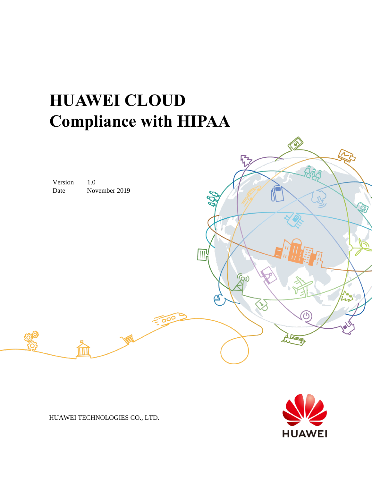# **HUAWEI CLOUD Compliance with HIPAA**





HUAWEI TECHNOLOGIES CO., LTD.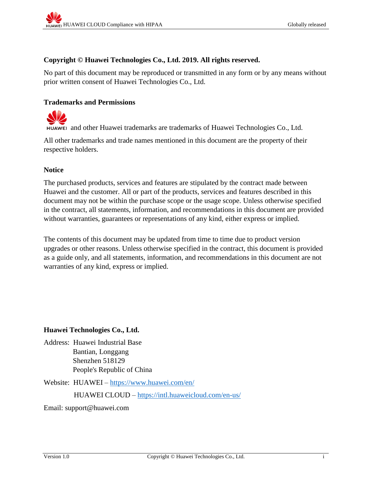#### **Copyright © Huawei Technologies Co., Ltd. 2019. All rights reserved.**

No part of this document may be reproduced or transmitted in any form or by any means without prior written consent of Huawei Technologies Co., Ltd.

#### **Trademarks and Permissions**



and other Huawei trademarks are trademarks of Huawei Technologies Co., Ltd.

All other trademarks and trade names mentioned in this document are the property of their respective holders.

#### **Notice**

The purchased products, services and features are stipulated by the contract made between Huawei and the customer. All or part of the products, services and features described in this document may not be within the purchase scope or the usage scope. Unless otherwise specified in the contract, all statements, information, and recommendations in this document are provided without warranties, guarantees or representations of any kind, either express or implied.

The contents of this document may be updated from time to time due to product version upgrades or other reasons. Unless otherwise specified in the contract, this document is provided as a guide only, and all statements, information, and recommendations in this document are not warranties of any kind, express or implied.

#### **Huawei Technologies Co., Ltd.**

Address: Huawei Industrial Base Bantian, Longgang Shenzhen 518129 People's Republic of China

Website: HUAWEI – <https://www.huawei.com/en/>

HUAWEI CLOUD – <https://intl.huaweicloud.com/en-us/>

Email: support@huawei.com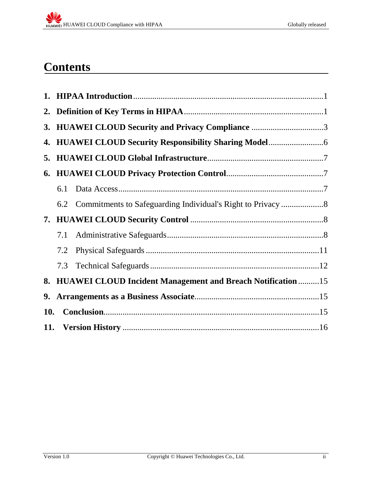## **Contents**

|     |     | 3. HUAWEI CLOUD Security and Privacy Compliance 3               |  |  |  |  |
|-----|-----|-----------------------------------------------------------------|--|--|--|--|
|     |     |                                                                 |  |  |  |  |
|     |     |                                                                 |  |  |  |  |
|     |     |                                                                 |  |  |  |  |
|     | 6.1 |                                                                 |  |  |  |  |
|     |     |                                                                 |  |  |  |  |
|     |     |                                                                 |  |  |  |  |
|     | 7.1 |                                                                 |  |  |  |  |
|     | 7.2 |                                                                 |  |  |  |  |
|     | 7.3 |                                                                 |  |  |  |  |
|     |     | 8. HUAWEI CLOUD Incident Management and Breach Notification  15 |  |  |  |  |
| 9.  |     |                                                                 |  |  |  |  |
| 10. |     |                                                                 |  |  |  |  |
|     |     |                                                                 |  |  |  |  |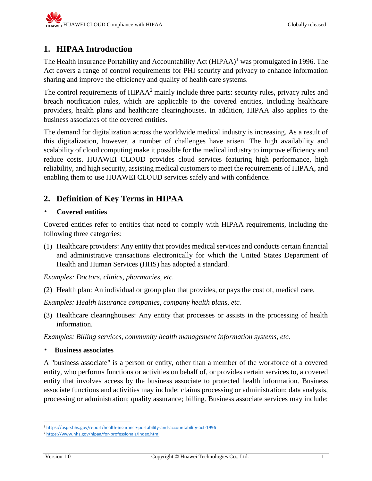## <span id="page-3-0"></span>**1. HIPAA Introduction**

The Health Insurance Portability and Accountability Act (HIPAA)<sup>1</sup> was promulgated in 1996. The Act covers a range of control requirements for PHI security and privacy to enhance information sharing and improve the efficiency and quality of health care systems.

The control requirements of HIPAA<sup>2</sup> mainly include three parts: security rules, privacy rules and breach notification rules, which are applicable to the covered entities, including healthcare providers, health plans and healthcare clearinghouses. In addition, HIPAA also applies to the business associates of the covered entities.

The demand for digitalization across the worldwide medical industry is increasing. As a result of this digitalization, however, a number of challenges have arisen. The high availability and scalability of cloud computing make it possible for the medical industry to improve efficiency and reduce costs. HUAWEI CLOUD provides cloud services featuring high performance, high reliability, and high security, assisting medical customers to meet the requirements of HIPAA, and enabling them to use HUAWEI CLOUD services safely and with confidence.

## <span id="page-3-1"></span>**2. Definition of Key Terms in HIPAA**

#### • **Covered entities**

Covered entities refer to entities that need to comply with HIPAA requirements, including the following three categories:

(1) Healthcare providers: Any entity that provides medical services and conducts certain financial and administrative transactions electronically for which the United States Department of Health and Human Services (HHS) has adopted a standard.

*Examples: Doctors, clinics, pharmacies, etc.* 

(2) Health plan: An individual or group plan that provides, or pays the cost of, medical care.

*Examples: Health insurance companies, company health plans, etc.* 

(3) Healthcare clearinghouses: Any entity that processes or assists in the processing of health information.

*Examples: Billing services, community health management information systems, etc.*

• **Business associates**

A "business associate" is a person or entity, other than a member of the workforce of a covered entity, who performs functions or activities on behalf of, or provides certain services to, a covered entity that involves access by the business associate to protected health information. Business associate functions and activities may include: claims processing or administration; data analysis, processing or administration; quality assurance; billing. Business associate services may include:

l <sup>1</sup> <https://aspe.hhs.gov/report/health-insurance-portability-and-accountability-act-1996>

<sup>2</sup> <https://www.hhs.gov/hipaa/for-professionals/index.html>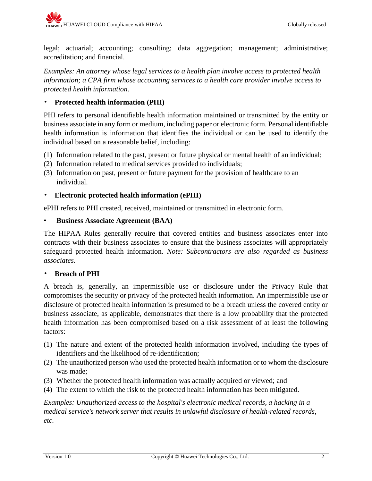legal; actuarial; accounting; consulting; data aggregation; management; administrative; accreditation; and financial.

*Examples: An attorney whose legal services to a health plan involve access to protected health information; a CPA firm whose accounting services to a health care provider involve access to protected health information.*

### • **Protected health information (PHI)**

PHI refers to personal identifiable health information maintained or transmitted by the entity or business associate in any form or medium, including paper or electronic form. Personal identifiable health information is information that identifies the individual or can be used to identify the individual based on a reasonable belief, including:

- (1) Information related to the past, present or future physical or mental health of an individual;
- (2) Information related to medical services provided to individuals;
- (3) Information on past, present or future payment for the provision of healthcare to an individual.

#### • **Electronic protected health information (ePHI)**

ePHI refers to PHI created, received, maintained or transmitted in electronic form.

#### • **Business Associate Agreement (BAA)**

The HIPAA Rules generally require that covered entities and business associates enter into contracts with their business associates to ensure that the business associates will appropriately safeguard protected health information. *Note: Subcontractors are also regarded as business associates.*

#### • **Breach of PHI**

A breach is, generally, an impermissible use or disclosure under the Privacy Rule that compromises the security or privacy of the protected health information. An impermissible use or disclosure of protected health information is presumed to be a breach unless the covered entity or business associate, as applicable, demonstrates that there is a low probability that the protected health information has been compromised based on a risk assessment of at least the following factors:

- (1) The nature and extent of the protected health information involved, including the types of identifiers and the likelihood of re-identification;
- (2) The unauthorized person who used the protected health information or to whom the disclosure was made;
- (3) Whether the protected health information was actually acquired or viewed; and
- (4) The extent to which the risk to the protected health information has been mitigated.

*Examples: Unauthorized access to the hospital's electronic medical records, a hacking in a medical service's network server that results in unlawful disclosure of health-related records, etc.*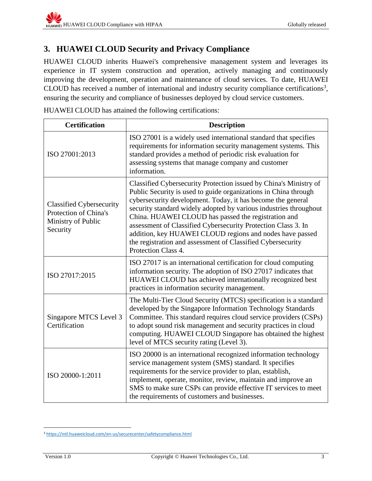## <span id="page-5-0"></span>**3. HUAWEI CLOUD Security and Privacy Compliance**

HUAWEI CLOUD inherits Huawei's comprehensive management system and leverages its experience in IT system construction and operation, actively managing and continuously improving the development, operation and maintenance of cloud services. To date, HUAWEI CLOUD has received a number of international and industry security compliance certifications<sup>3</sup>, ensuring the security and compliance of businesses deployed by cloud service customers.

HUAWEI CLOUD has attained the following certifications:

| <b>Certification</b>                                                                       | <b>Description</b>                                                                                                                                                                                                                                                                                                                                                                                                                                                                                                                                 |  |  |  |  |
|--------------------------------------------------------------------------------------------|----------------------------------------------------------------------------------------------------------------------------------------------------------------------------------------------------------------------------------------------------------------------------------------------------------------------------------------------------------------------------------------------------------------------------------------------------------------------------------------------------------------------------------------------------|--|--|--|--|
| ISO 27001:2013                                                                             | ISO 27001 is a widely used international standard that specifies<br>requirements for information security management systems. This<br>standard provides a method of periodic risk evaluation for<br>assessing systems that manage company and customer<br>information.                                                                                                                                                                                                                                                                             |  |  |  |  |
| <b>Classified Cybersecurity</b><br>Protection of China's<br>Ministry of Public<br>Security | Classified Cybersecurity Protection issued by China's Ministry of<br>Public Security is used to guide organizations in China through<br>cybersecurity development. Today, it has become the general<br>security standard widely adopted by various industries throughout<br>China. HUAWEI CLOUD has passed the registration and<br>assessment of Classified Cybersecurity Protection Class 3. In<br>addition, key HUAWEI CLOUD regions and nodes have passed<br>the registration and assessment of Classified Cybersecurity<br>Protection Class 4. |  |  |  |  |
| ISO 27017:2015                                                                             | ISO 27017 is an international certification for cloud computing<br>information security. The adoption of ISO 27017 indicates that<br>HUAWEI CLOUD has achieved internationally recognized best<br>practices in information security management.                                                                                                                                                                                                                                                                                                    |  |  |  |  |
| Singapore MTCS Level 3<br>Certification                                                    | The Multi-Tier Cloud Security (MTCS) specification is a standard<br>developed by the Singapore Information Technology Standards<br>Committee. This standard requires cloud service providers (CSPs)<br>to adopt sound risk management and security practices in cloud<br>computing. HUAWEI CLOUD Singapore has obtained the highest<br>level of MTCS security rating (Level 3).                                                                                                                                                                    |  |  |  |  |
| ISO 20000-1:2011                                                                           | ISO 20000 is an international recognized information technology<br>service management system (SMS) standard. It specifies<br>requirements for the service provider to plan, establish,<br>implement, operate, monitor, review, maintain and improve an<br>SMS to make sure CSPs can provide effective IT services to meet<br>the requirements of customers and businesses.                                                                                                                                                                         |  |  |  |  |

 $\overline{\phantom{a}}$ <sup>3</sup> <https://intl.huaweicloud.com/en-us/securecenter/safetycompliance.html>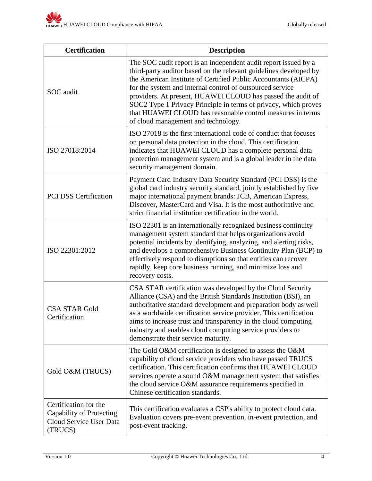| <b>Certification</b>                                                                    | <b>Description</b>                                                                                                                                                                                                                                                                                                                                                                                                                                                                                         |  |  |  |  |
|-----------------------------------------------------------------------------------------|------------------------------------------------------------------------------------------------------------------------------------------------------------------------------------------------------------------------------------------------------------------------------------------------------------------------------------------------------------------------------------------------------------------------------------------------------------------------------------------------------------|--|--|--|--|
| SOC audit                                                                               | The SOC audit report is an independent audit report issued by a<br>third-party auditor based on the relevant guidelines developed by<br>the American Institute of Certified Public Accountants (AICPA)<br>for the system and internal control of outsourced service<br>providers. At present, HUAWEI CLOUD has passed the audit of<br>SOC2 Type 1 Privacy Principle in terms of privacy, which proves<br>that HUAWEI CLOUD has reasonable control measures in terms<br>of cloud management and technology. |  |  |  |  |
| ISO 27018:2014                                                                          | ISO 27018 is the first international code of conduct that focuses<br>on personal data protection in the cloud. This certification<br>indicates that HUAWEI CLOUD has a complete personal data<br>protection management system and is a global leader in the data<br>security management domain.                                                                                                                                                                                                            |  |  |  |  |
| <b>PCI DSS Certification</b>                                                            | Payment Card Industry Data Security Standard (PCI DSS) is the<br>global card industry security standard, jointly established by five<br>major international payment brands: JCB, American Express,<br>Discover, MasterCard and Visa. It is the most authoritative and<br>strict financial institution certification in the world.                                                                                                                                                                          |  |  |  |  |
| ISO 22301:2012                                                                          | ISO 22301 is an internationally recognized business continuity<br>management system standard that helps organizations avoid<br>potential incidents by identifying, analyzing, and alerting risks,<br>and develops a comprehensive Business Continuity Plan (BCP) to<br>effectively respond to disruptions so that entities can recover<br>rapidly, keep core business running, and minimize loss and<br>recovery costs.                                                                                    |  |  |  |  |
| <b>CSA STAR Gold</b><br>Certification                                                   | CSA STAR certification was developed by the Cloud Security<br>Alliance (CSA) and the British Standards Institution (BSI), an<br>authoritative standard development and preparation body as well<br>as a worldwide certification service provider. This certification<br>aims to increase trust and transparency in the cloud computing<br>industry and enables cloud computing service providers to<br>demonstrate their service maturity.                                                                 |  |  |  |  |
| Gold O&M (TRUCS)                                                                        | The Gold O&M certification is designed to assess the O&M<br>capability of cloud service providers who have passed TRUCS<br>certification. This certification confirms that HUAWEI CLOUD<br>services operate a sound O&M management system that satisfies<br>the cloud service O&M assurance requirements specified in<br>Chinese certification standards.                                                                                                                                                  |  |  |  |  |
| Certification for the<br>Capability of Protecting<br>Cloud Service User Data<br>(TRUCS) | This certification evaluates a CSP's ability to protect cloud data.<br>Evaluation covers pre-event prevention, in-event protection, and<br>post-event tracking.                                                                                                                                                                                                                                                                                                                                            |  |  |  |  |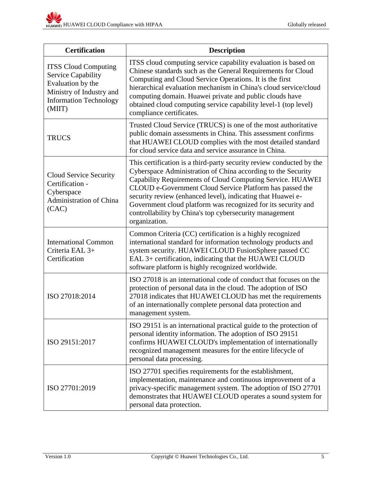| <b>Certification</b>                                                                                                                                 | <b>Description</b>                                                                                                                                                                                                                                                                                                                                                                                                                                                         |  |  |  |  |
|------------------------------------------------------------------------------------------------------------------------------------------------------|----------------------------------------------------------------------------------------------------------------------------------------------------------------------------------------------------------------------------------------------------------------------------------------------------------------------------------------------------------------------------------------------------------------------------------------------------------------------------|--|--|--|--|
| <b>ITSS Cloud Computing</b><br><b>Service Capability</b><br>Evaluation by the<br>Ministry of Industry and<br><b>Information Technology</b><br>(MIIT) | ITSS cloud computing service capability evaluation is based on<br>Chinese standards such as the General Requirements for Cloud<br>Computing and Cloud Service Operations. It is the first<br>hierarchical evaluation mechanism in China's cloud service/cloud<br>computing domain. Huawei private and public clouds have<br>obtained cloud computing service capability level-1 (top level)<br>compliance certificates.                                                    |  |  |  |  |
| <b>TRUCS</b>                                                                                                                                         | Trusted Cloud Service (TRUCS) is one of the most authoritative<br>public domain assessments in China. This assessment confirms<br>that HUAWEI CLOUD complies with the most detailed standard<br>for cloud service data and service assurance in China.                                                                                                                                                                                                                     |  |  |  |  |
| Cloud Service Security<br>Certification -<br>Cyberspace<br>Administration of China<br>(CAC)                                                          | This certification is a third-party security review conducted by the<br>Cyberspace Administration of China according to the Security<br>Capability Requirements of Cloud Computing Service. HUAWEI<br>CLOUD e-Government Cloud Service Platform has passed the<br>security review (enhanced level), indicating that Huawei e-<br>Government cloud platform was recognized for its security and<br>controllability by China's top cybersecurity management<br>organization. |  |  |  |  |
| <b>International Common</b><br>Criteria EAL 3+<br>Certification                                                                                      | Common Criteria (CC) certification is a highly recognized<br>international standard for information technology products and<br>system security. HUAWEI CLOUD FusionSphere passed CC<br>EAL 3+ certification, indicating that the HUAWEI CLOUD<br>software platform is highly recognized worldwide.                                                                                                                                                                         |  |  |  |  |
| ISO 27018:2014                                                                                                                                       | ISO 27018 is an international code of conduct that focuses on the<br>protection of personal data in the cloud. The adoption of ISO<br>27018 indicates that HUAWEI CLOUD has met the requirements<br>of an internationally complete personal data protection and<br>management system.                                                                                                                                                                                      |  |  |  |  |
| ISO 29151:2017                                                                                                                                       | ISO 29151 is an international practical guide to the protection of<br>personal identity information. The adoption of ISO 29151<br>confirms HUAWEI CLOUD's implementation of internationally<br>recognized management measures for the entire lifecycle of<br>personal data processing.                                                                                                                                                                                     |  |  |  |  |
| ISO 27701:2019                                                                                                                                       | ISO 27701 specifies requirements for the establishment,<br>implementation, maintenance and continuous improvement of a<br>privacy-specific management system. The adoption of ISO 27701<br>demonstrates that HUAWEI CLOUD operates a sound system for<br>personal data protection.                                                                                                                                                                                         |  |  |  |  |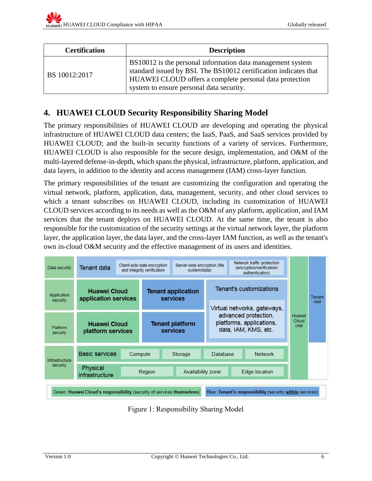| <b>Certification</b> | <b>Description</b>                                                                                                                                                                                                                    |  |  |  |  |
|----------------------|---------------------------------------------------------------------------------------------------------------------------------------------------------------------------------------------------------------------------------------|--|--|--|--|
| BS 10012:2017        | BS10012 is the personal information data management system<br>standard issued by BSI. The BS10012 certification indicates that<br>HUAWEI CLOUD offers a complete personal data protection<br>system to ensure personal data security. |  |  |  |  |

## <span id="page-8-0"></span>**4. HUAWEI CLOUD Security Responsibility Sharing Model**

The primary responsibilities of HUAWEI CLOUD are developing and operating the physical infrastructure of HUAWEI CLOUD data centers; the IaaS, PaaS, and SaaS services provided by HUAWEI CLOUD; and the built-in security functions of a variety of services. Furthermore, HUAWEI CLOUD is also responsible for the secure design, implementation, and O&M of the multi-layered defense-in-depth, which spans the physical, infrastructure, platform, application, and data layers, in addition to the identity and access management (IAM) cross-layer function.

The primary responsibilities of the tenant are customizing the configuration and operating the virtual network, platform, application, data, management, security, and other cloud services to which a tenant subscribes on HUAWEI CLOUD, including its customization of HUAWEI CLOUD services according to its needs as well as the O&M of any platform, application, and IAM services that the tenant deploys on HUAWEI CLOUD. At the same time, the tenant is also responsible for the customization of the security settings at the virtual network layer, the platform layer, the application layer, the data layer, and the cross-layer IAM function, as well as the tenant's own in-cloud O&M security and the effective management of its users and identities.

| Data security                                                                                                                      | <b>Tenant data</b>                          |        | Server-side encryption (file)<br>Client-side data encryption<br>and integrity verification<br>system/data) |                                           | Network traffic protection<br>(encryption/verification/<br>authentication) |                                                                                                         |  |                               | Tenant     |
|------------------------------------------------------------------------------------------------------------------------------------|---------------------------------------------|--------|------------------------------------------------------------------------------------------------------------|-------------------------------------------|----------------------------------------------------------------------------|---------------------------------------------------------------------------------------------------------|--|-------------------------------|------------|
| Application<br>security                                                                                                            | <b>Huawei Cloud</b><br>application services |        | <b>Tenant application</b><br><b>services</b>                                                               |                                           | <b>Tenant's customizations</b>                                             |                                                                                                         |  |                               |            |
|                                                                                                                                    |                                             |        |                                                                                                            |                                           |                                                                            | Virtual networks, gateways,<br>advanced protection,<br>platforms, applications,<br>data, IAM, KMS, etc. |  | Huawei<br>Cloud<br><b>IAM</b> | <b>IAM</b> |
| Platform<br>security                                                                                                               | <b>Huawei Cloud</b><br>platform services    |        |                                                                                                            | <b>Tenant platform</b><br><b>services</b> |                                                                            |                                                                                                         |  |                               |            |
| Infrastructure                                                                                                                     | <b>Basic services</b>                       |        | Compute                                                                                                    | Storage                                   | <b>Database</b>                                                            | <b>Network</b>                                                                                          |  |                               |            |
| security                                                                                                                           | Physical<br>infrastructure                  | Region |                                                                                                            | Availability zone                         |                                                                            | Edge location                                                                                           |  |                               |            |
| Green: Huawei Cloud's responsibility (security of services themselves)<br>Blue: Tenant's responsibility (security within services) |                                             |        |                                                                                                            |                                           |                                                                            |                                                                                                         |  |                               |            |

Figure 1: Responsibility Sharing Model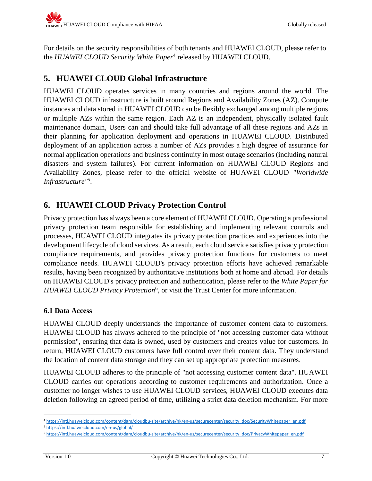For details on the security responsibilities of both tenants and HUAWEI CLOUD, please refer to the *HUAWEI CLOUD Security White Paper*<sup>4</sup> released by HUAWEI CLOUD.

## <span id="page-9-0"></span>**5. HUAWEI CLOUD Global Infrastructure**

HUAWEI CLOUD operates services in many countries and regions around the world. The HUAWEI CLOUD infrastructure is built around Regions and Availability Zones (AZ). Compute instances and data stored in HUAWEI CLOUD can be flexibly exchanged among multiple regions or multiple AZs within the same region. Each AZ is an independent, physically isolated fault maintenance domain, Users can and should take full advantage of all these regions and AZs in their planning for application deployment and operations in HUAWEI CLOUD. Distributed deployment of an application across a number of AZs provides a high degree of assurance for normal application operations and business continuity in most outage scenarios (including natural disasters and system failures). For current information on HUAWEI CLOUD Regions and Availability Zones, please refer to the official website of HUAWEI CLOUD *"Worldwide Infrastructure"* 5 .

## <span id="page-9-1"></span>**6. HUAWEI CLOUD Privacy Protection Control**

Privacy protection has always been a core element of HUAWEI CLOUD. Operating a professional privacy protection team responsible for establishing and implementing relevant controls and processes, HUAWEI CLOUD integrates its privacy protection practices and experiences into the development lifecycle of cloud services. As a result, each cloud service satisfies privacy protection compliance requirements, and provides privacy protection functions for customers to meet compliance needs. HUAWEI CLOUD's privacy protection efforts have achieved remarkable results, having been recognized by authoritative institutions both at home and abroad. For details on HUAWEI CLOUD's privacy protection and authentication, please refer to the *White Paper for HUAWEI CLOUD Privacy Protection*<sup>6</sup> , or visit the Trust Center for more information.

#### <span id="page-9-2"></span>**6.1 Data Access**

HUAWEI CLOUD deeply understands the importance of customer content data to customers. HUAWEI CLOUD has always adhered to the principle of "not accessing customer data without permission", ensuring that data is owned, used by customers and creates value for customers. In return, HUAWEI CLOUD customers have full control over their content data. They understand the location of content data storage and they can set up appropriate protection measures.

HUAWEI CLOUD adheres to the principle of "not accessing customer content data". HUAWEI CLOUD carries out operations according to customer requirements and authorization. Once a customer no longer wishes to use HUAWEI CLOUD services, HUAWEI CLOUD executes data deletion following an agreed period of time, utilizing a strict data deletion mechanism. For more

 $\overline{\phantom{a}}$ <sup>4</sup> [https://intl.huaweicloud.com/content/dam/cloudbu-site/archive/hk/en-us/securecenter/security\\_doc/SecurityWhitepaper\\_en.pdf](https://intl.huaweicloud.com/content/dam/cloudbu-site/archive/hk/en-us/securecenter/security_doc/SecurityWhitepaper_en.pdf)

<sup>5</sup> <https://intl.huaweicloud.com/en-us/global/>

<sup>6</sup> [https://intl.huaweicloud.com/content/dam/cloudbu-site/archive/hk/en-us/securecenter/security\\_doc/PrivacyWhitepaper\\_en.pdf](https://intl.huaweicloud.com/content/dam/cloudbu-site/archive/hk/en-us/securecenter/security_doc/PrivacyWhitepaper_en.pdf)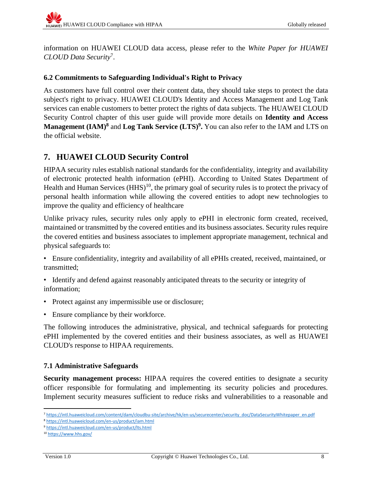information on HUAWEI CLOUD data access, please refer to the *White Paper for HUAWEI CLOUD Data Security*<sup>7</sup> .

#### <span id="page-10-0"></span>**6.2 Commitments to Safeguarding Individual's Right to Privacy**

As customers have full control over their content data, they should take steps to protect the data subject's right to privacy. HUAWEI CLOUD's Identity and Access Management and Log Tank services can enable customers to better protect the rights of data subjects. The HUAWEI CLOUD Security Control chapter of this user guide will provide more details on **Identity and Access Management (IAM) <sup>8</sup>** and **Log Tank Service (LTS) 9 .** You can also refer to the IAM and LTS on the official website.

## <span id="page-10-1"></span>**7. HUAWEI CLOUD Security Control**

HIPAA security rules establish national standards for the confidentiality, integrity and availability of electronic protected health information (ePHI). According to United States Department of Health and Human Services  $(HHS)^{10}$ , the primary goal of security rules is to protect the privacy of personal health information while allowing the covered entities to adopt new technologies to improve the quality and efficiency of healthcare

Unlike privacy rules, security rules only apply to ePHI in electronic form created, received, maintained or transmitted by the covered entities and its business associates. Security rules require the covered entities and business associates to implement appropriate management, technical and physical safeguards to:

- Ensure confidentiality, integrity and availability of all ePHIs created, received, maintained, or transmitted;
- Identify and defend against reasonably anticipated threats to the security or integrity of information;
- Protect against any impermissible use or disclosure;
- Ensure compliance by their workforce.

The following introduces the administrative, physical, and technical safeguards for protecting ePHI implemented by the covered entities and their business associates, as well as HUAWEI CLOUD's response to HIPAA requirements.

#### <span id="page-10-2"></span>**7.1 Administrative Safeguards**

**Security management process:** HIPAA requires the covered entities to designate a security officer responsible for formulating and implementing its security policies and procedures. Implement security measures sufficient to reduce risks and vulnerabilities to a reasonable and

l

<sup>7</sup> [https://intl.huaweicloud.com/content/dam/cloudbu-site/archive/hk/en-us/securecenter/security\\_doc/DataSecurityWhitepaper\\_en.pdf](https://intl.huaweicloud.com/content/dam/cloudbu-site/archive/hk/en-us/securecenter/security_doc/DataSecurityWhitepaper_en.pdf)

<sup>8</sup> <https://intl.huaweicloud.com/en-us/product/iam.html>

<sup>9</sup> <https://intl.huaweicloud.com/en-us/product/lts.html>

<sup>10</sup> <https://www.hhs.gov/>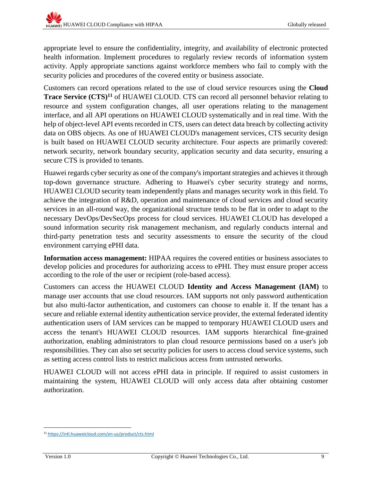appropriate level to ensure the confidentiality, integrity, and availability of electronic protected health information. Implement procedures to regularly review records of information system activity. Apply appropriate sanctions against workforce members who fail to comply with the security policies and procedures of the covered entity or business associate.

Customers can record operations related to the use of cloud service resources using the **Cloud Trace Service (CTS)<sup>11</sup>** of HUAWEI CLOUD. CTS can record all personnel behavior relating to resource and system configuration changes, all user operations relating to the management interface, and all API operations on HUAWEI CLOUD systematically and in real time. With the help of object-level API events recorded in CTS, users can detect data breach by collecting activity data on OBS objects. As one of HUAWEI CLOUD's management services, CTS security design is built based on HUAWEI CLOUD security architecture. Four aspects are primarily covered: network security, network boundary security, application security and data security, ensuring a secure CTS is provided to tenants.

Huawei regards cyber security as one of the company's important strategies and achieves it through top-down governance structure. Adhering to Huawei's cyber security strategy and norms, HUAWEI CLOUD security team independently plans and manages security work in this field. To achieve the integration of R&D, operation and maintenance of cloud services and cloud security services in an all-round way, the organizational structure tends to be flat in order to adapt to the necessary DevOps/DevSecOps process for cloud services. HUAWEI CLOUD has developed a sound information security risk management mechanism, and regularly conducts internal and third-party penetration tests and security assessments to ensure the security of the cloud environment carrying ePHI data.

**Information access management:** HIPAA requires the covered entities or business associates to develop policies and procedures for authorizing access to ePHI. They must ensure proper access according to the role of the user or recipient (role-based access).

Customers can access the HUAWEI CLOUD **Identity and Access Management (IAM)** to manage user accounts that use cloud resources. IAM supports not only password authentication but also multi-factor authentication, and customers can choose to enable it. If the tenant has a secure and reliable external identity authentication service provider, the external federated identity authentication users of IAM services can be mapped to temporary HUAWEI CLOUD users and access the tenant's HUAWEI CLOUD resources. IAM supports hierarchical fine-grained authorization, enabling administrators to plan cloud resource permissions based on a user's job responsibilities. They can also set security policies for users to access cloud service systems, such as setting access control lists to restrict malicious access from untrusted networks.

HUAWEI CLOUD will not access ePHI data in principle. If required to assist customers in maintaining the system, HUAWEI CLOUD will only access data after obtaining customer authorization.

 $\overline{\phantom{a}}$ <sup>11</sup> <https://intl.huaweicloud.com/en-us/product/cts.html>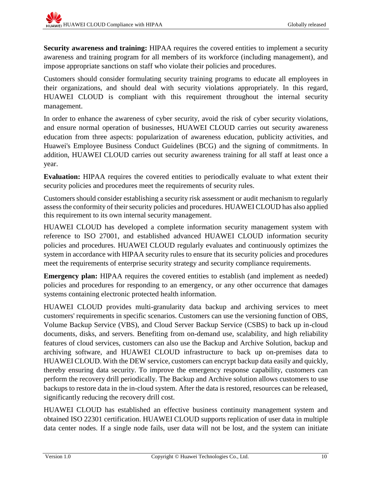**Security awareness and training:** HIPAA requires the covered entities to implement a security awareness and training program for all members of its workforce (including management), and impose appropriate sanctions on staff who violate their policies and procedures.

Customers should consider formulating security training programs to educate all employees in their organizations, and should deal with security violations appropriately. In this regard, HUAWEI CLOUD is compliant with this requirement throughout the internal security management.

In order to enhance the awareness of cyber security, avoid the risk of cyber security violations, and ensure normal operation of businesses, HUAWEI CLOUD carries out security awareness education from three aspects: popularization of awareness education, publicity activities, and Huawei's Employee Business Conduct Guidelines (BCG) and the signing of commitments. In addition, HUAWEI CLOUD carries out security awareness training for all staff at least once a year.

**Evaluation:** HIPAA requires the covered entities to periodically evaluate to what extent their security policies and procedures meet the requirements of security rules.

Customers should consider establishing a security risk assessment or audit mechanism to regularly assess the conformity of their security policies and procedures. HUAWEI CLOUD has also applied this requirement to its own internal security management.

HUAWEI CLOUD has developed a complete information security management system with reference to ISO 27001, and established advanced HUAWEI CLOUD information security policies and procedures. HUAWEI CLOUD regularly evaluates and continuously optimizes the system in accordance with HIPAA security rules to ensure that its security policies and procedures meet the requirements of enterprise security strategy and security compliance requirements.

**Emergency plan:** HIPAA requires the covered entities to establish (and implement as needed) policies and procedures for responding to an emergency, or any other occurrence that damages systems containing electronic protected health information.

HUAWEI CLOUD provides multi-granularity data backup and archiving services to meet customers' requirements in specific scenarios. Customers can use the versioning function of OBS, Volume Backup Service (VBS), and Cloud Server Backup Service (CSBS) to back up in-cloud documents, disks, and servers. Benefiting from on-demand use, scalability, and high reliability features of cloud services, customers can also use the Backup and Archive Solution, backup and archiving software, and HUAWEI CLOUD infrastructure to back up on-premises data to HUAWEI CLOUD. With the DEW service, customers can encrypt backup data easily and quickly, thereby ensuring data security. To improve the emergency response capability, customers can perform the recovery drill periodically. The Backup and Archive solution allows customers to use backups to restore data in the in-cloud system. After the data is restored, resources can be released, significantly reducing the recovery drill cost.

HUAWEI CLOUD has established an effective business continuity management system and obtained ISO 22301 certification. HUAWEI CLOUD supports replication of user data in multiple data center nodes. If a single node fails, user data will not be lost, and the system can initiate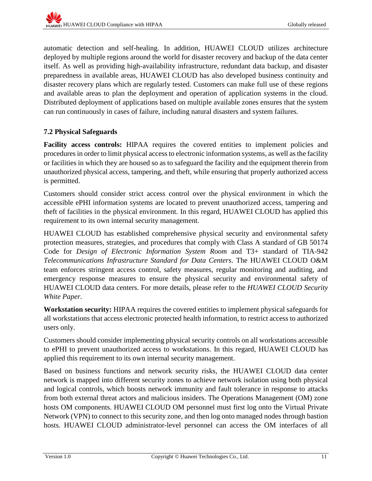automatic detection and self-healing. In addition, HUAWEI CLOUD utilizes architecture deployed by multiple regions around the world for disaster recovery and backup of the data center itself. As well as providing high-availability infrastructure, redundant data backup, and disaster preparedness in available areas, HUAWEI CLOUD has also developed business continuity and disaster recovery plans which are regularly tested. Customers can make full use of these regions and available areas to plan the deployment and operation of application systems in the cloud. Distributed deployment of applications based on multiple available zones ensures that the system can run continuously in cases of failure, including natural disasters and system failures.

## <span id="page-13-0"></span>**7.2 Physical Safeguards**

**Facility access controls:** HIPAA requires the covered entities to implement policies and procedures in order to limit physical access to electronic information systems, as well as the facility or facilities in which they are housed so as to safeguard the facility and the equipment therein from unauthorized physical access, tampering, and theft, while ensuring that properly authorized access is permitted.

Customers should consider strict access control over the physical environment in which the accessible ePHI information systems are located to prevent unauthorized access, tampering and theft of facilities in the physical environment. In this regard, HUAWEI CLOUD has applied this requirement to its own internal security management.

HUAWEI CLOUD has established comprehensive physical security and environmental safety protection measures, strategies, and procedures that comply with Class A standard of GB 50174 Code for *Design of Electronic Information System Room* and T3+ standard of TIA-942 *Telecommunications Infrastructure Standard for Data Centers*. The HUAWEI CLOUD O&M team enforces stringent access control, safety measures, regular monitoring and auditing, and emergency response measures to ensure the physical security and environmental safety of HUAWEI CLOUD data centers. For more details, please refer to the *HUAWEI CLOUD Security White Paper*.

**Workstation security:** HIPAA requires the covered entities to implement physical safeguards for all workstations that access electronic protected health information, to restrict access to authorized users only.

Customers should consider implementing physical security controls on all workstations accessible to ePHI to prevent unauthorized access to workstations. In this regard, HUAWEI CLOUD has applied this requirement to its own internal security management.

Based on business functions and network security risks, the HUAWEI CLOUD data center network is mapped into different security zones to achieve network isolation using both physical and logical controls, which boosts network immunity and fault tolerance in response to attacks from both external threat actors and malicious insiders. The Operations Management (OM) zone hosts OM components. HUAWEI CLOUD OM personnel must first log onto the Virtual Private Network (VPN) to connect to this security zone, and then log onto managed nodes through bastion hosts. HUAWEI CLOUD administrator-level personnel can access the OM interfaces of all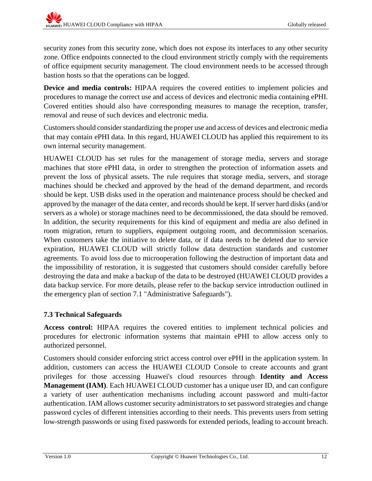security zones from this security zone, which does not expose its interfaces to any other security zone. Office endpoints connected to the cloud environment strictly comply with the requirements of office equipment security management. The cloud environment needs to be accessed through bastion hosts so that the operations can be logged.

**Device and media controls:** HIPAA requires the covered entities to implement policies and procedures to manage the correct use and access of devices and electronic media containing ePHI. Covered entities should also have corresponding measures to manage the reception, transfer, removal and reuse of such devices and electronic media.

Customers should consider standardizing the proper use and access of devices and electronic media that may contain ePHI data. In this regard, HUAWEI CLOUD has applied this requirement to its own internal security management.

HUAWEI CLOUD has set rules for the management of storage media, servers and storage machines that store ePHI data, in order to strengthen the protection of information assets and prevent the loss of physical assets. The rule requires that storage media, servers, and storage machines should be checked and approved by the head of the demand department, and records should be kept. USB disks used in the operation and maintenance process should be checked and approved by the manager of the data center, and records should be kept. If server hard disks (and/or servers as a whole) or storage machines need to be decommissioned, the data should be removed. In addition, the security requirements for this kind of equipment and media are also defined in room migration, return to suppliers, equipment outgoing room, and decommission scenarios. When customers take the initiative to delete data, or if data needs to be deleted due to service expiration, HUAWEI CLOUD will strictly follow data destruction standards and customer agreements. To avoid loss due to microoperation following the destruction of important data and the impossibility of restoration, it is suggested that customers should consider carefully before destroying the data and make a backup of the data to be destroyed (HUAWEI CLOUD provides a data backup service. For more details, please refer to the backup service introduction outlined in the emergency plan of section [7.1](#page-10-2) ["Administrative Safeguards"](#page-10-2)).

### <span id="page-14-0"></span>**7.3 Technical Safeguards**

**Access control:** HIPAA requires the covered entities to implement technical policies and procedures for electronic information systems that maintain ePHI to allow access only to authorized personnel.

Customers should consider enforcing strict access control over ePHI in the application system. In addition, customers can access the HUAWEI CLOUD Console to create accounts and grant privileges for those accessing Huawei's cloud resources through **Identity and Access Management (IAM)**. Each HUAWEI CLOUD customer has a unique user ID, and can configure a variety of user authentication mechanisms including account password and multi-factor authentication. IAM allows customer security administrators to set password strategies and change password cycles of different intensities according to their needs. This prevents users from setting low-strength passwords or using fixed passwords for extended periods, leading to account breach.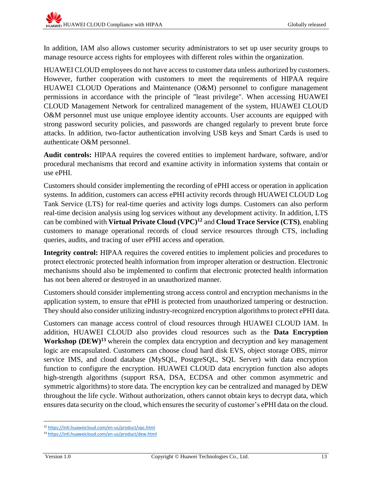In addition, IAM also allows customer security administrators to set up user security groups to manage resource access rights for employees with different roles within the organization.

HUAWEI CLOUD employees do not have access to customer data unless authorized by customers. However, further cooperation with customers to meet the requirements of HIPAA require HUAWEI CLOUD Operations and Maintenance (O&M) personnel to configure management permissions in accordance with the principle of "least privilege". When accessing HUAWEI CLOUD Management Network for centralized management of the system, HUAWEI CLOUD O&M personnel must use unique employee identity accounts. User accounts are equipped with strong password security policies, and passwords are changed regularly to prevent brute force attacks. In addition, two-factor authentication involving USB keys and Smart Cards is used to authenticate O&M personnel.

**Audit controls:** HIPAA requires the covered entities to implement hardware, software, and/or procedural mechanisms that record and examine activity in information systems that contain or use ePHI.

Customers should consider implementing the recording of ePHI access or operation in application systems. In addition, customers can access ePHI activity records through HUAWEI CLOUD Log Tank Service (LTS) for real-time queries and activity logs dumps. Customers can also perform real-time decision analysis using log services without any development activity. In addition, LTS can be combined with **Virtual Private Cloud (VPC) <sup>12</sup>** and **Cloud Trace Service (CTS)**, enabling customers to manage operational records of cloud service resources through CTS, including queries, audits, and tracing of user ePHI access and operation.

**Integrity control:** HIPAA requires the covered entities to implement policies and procedures to protect electronic protected health information from improper alteration or destruction. Electronic mechanisms should also be implemented to confirm that electronic protected health information has not been altered or destroyed in an unauthorized manner.

Customers should consider implementing strong access control and encryption mechanisms in the application system, to ensure that ePHI is protected from unauthorized tampering or destruction. They should also consider utilizing industry-recognized encryption algorithmsto protect ePHI data.

Customers can manage access control of cloud resources through HUAWEI CLOUD IAM. In addition, HUAWEI CLOUD also provides cloud resources such as the **Data Encryption Workshop (DEW) <sup>13</sup>** wherein the complex data encryption and decryption and key management logic are encapsulated. Customers can choose cloud hard disk EVS, object storage OBS, mirror service IMS, and cloud database (MySQL, PostgreSQL, SQL Server) with data encryption function to configure the encryption. HUAWEI CLOUD data encryption function also adopts high-strength algorithms (support RSA, DSA, ECDSA and other common asymmetric and symmetric algorithms) to store data. The encryption key can be centralized and managed by DEW throughout the life cycle. Without authorization, others cannot obtain keys to decrypt data, which ensures data security on the cloud, which ensures the security of customer's ePHI data on the cloud.

l <sup>12</sup> <https://intl.huaweicloud.com/en-us/product/vpc.html>

<sup>13</sup> <https://intl.huaweicloud.com/en-us/product/dew.html>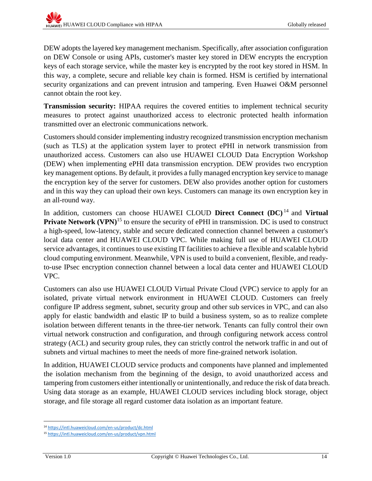DEW adopts the layered key management mechanism. Specifically, after association configuration on DEW Console or using APIs, customer's master key stored in DEW encrypts the encryption keys of each storage service, while the master key is encrypted by the root key stored in HSM. In this way, a complete, secure and reliable key chain is formed. HSM is certified by international security organizations and can prevent intrusion and tampering. Even Huawei O&M personnel cannot obtain the root key.

**Transmission security:** HIPAA requires the covered entities to implement technical security measures to protect against unauthorized access to electronic protected health information transmitted over an electronic communications network.

Customers should consider implementing industry recognized transmission encryption mechanism (such as TLS) at the application system layer to protect ePHI in network transmission from unauthorized access. Customers can also use HUAWEI CLOUD Data Encryption Workshop (DEW) when implementing ePHI data transmission encryption. DEW provides two encryption key management options. By default, it provides a fully managed encryption key service to manage the encryption key of the server for customers. DEW also provides another option for customers and in this way they can upload their own keys. Customers can manage its own encryption key in an all-round way.

In addition, customers can choose HUAWEI CLOUD **Direct Connect (DC)** <sup>14</sup> and **Virtual Private Network** (VPN)<sup>15</sup> to ensure the security of ePHI in transmission. DC is used to construct a high-speed, low-latency, stable and secure dedicated connection channel between a customer's local data center and HUAWEI CLOUD VPC. While making full use of HUAWEI CLOUD service advantages, it continues to use existing IT facilities to achieve a flexible and scalable hybrid cloud computing environment. Meanwhile, VPN is used to build a convenient, flexible, and readyto-use IPsec encryption connection channel between a local data center and HUAWEI CLOUD VPC.

Customers can also use HUAWEI CLOUD Virtual Private Cloud (VPC) service to apply for an isolated, private virtual network environment in HUAWEI CLOUD. Customers can freely configure IP address segment, subnet, security group and other sub services in VPC, and can also apply for elastic bandwidth and elastic IP to build a business system, so as to realize complete isolation between different tenants in the three-tier network. Tenants can fully control their own virtual network construction and configuration, and through configuring network access control strategy (ACL) and security group rules, they can strictly control the network traffic in and out of subnets and virtual machines to meet the needs of more fine-grained network isolation.

In addition, HUAWEI CLOUD service products and components have planned and implemented the isolation mechanism from the beginning of the design, to avoid unauthorized access and tampering from customers either intentionally or unintentionally, and reduce the risk of data breach. Using data storage as an example, HUAWEI CLOUD services including block storage, object storage, and file storage all regard customer data isolation as an important feature.

l <sup>14</sup> <https://intl.huaweicloud.com/en-us/product/dc.html>

<sup>15</sup> <https://intl.huaweicloud.com/en-us/product/vpn.html>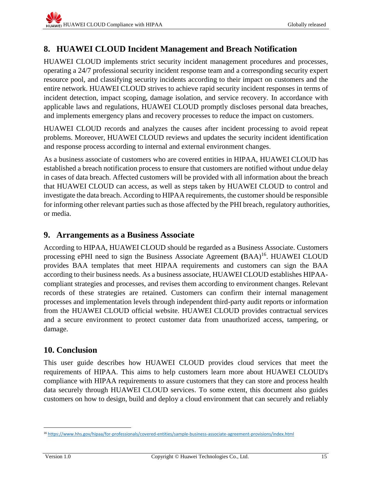## <span id="page-17-0"></span>**8. HUAWEI CLOUD Incident Management and Breach Notification**

HUAWEI CLOUD implements strict security incident management procedures and processes, operating a 24/7 professional security incident response team and a corresponding security expert resource pool, and classifying security incidents according to their impact on customers and the entire network. HUAWEI CLOUD strives to achieve rapid security incident responses in terms of incident detection, impact scoping, damage isolation, and service recovery. In accordance with applicable laws and regulations, HUAWEI CLOUD promptly discloses personal data breaches, and implements emergency plans and recovery processes to reduce the impact on customers.

HUAWEI CLOUD records and analyzes the causes after incident processing to avoid repeat problems. Moreover, HUAWEI CLOUD reviews and updates the security incident identification and response process according to internal and external environment changes.

As a business associate of customers who are covered entities in HIPAA, HUAWEI CLOUD has established a breach notification process to ensure that customers are notified without undue delay in cases of data breach. Affected customers will be provided with all information about the breach that HUAWEI CLOUD can access, as well as steps taken by HUAWEI CLOUD to control and investigate the data breach. According to HIPAA requirements, the customer should be responsible for informing other relevant parties such as those affected by the PHI breach, regulatory authorities, or media.

## <span id="page-17-1"></span>**9. Arrangements as a Business Associate**

According to HIPAA, HUAWEI CLOUD should be regarded as a Business Associate. Customers processing ePHI need to sign the Business Associate Agreement **(**BAA) 16 . HUAWEI CLOUD provides BAA templates that meet HIPAA requirements and customers can sign the BAA according to their business needs. As a business associate, HUAWEI CLOUD establishes HIPAAcompliant strategies and processes, and revises them according to environment changes. Relevant records of these strategies are retained. Customers can confirm their internal management processes and implementation levels through independent third-party audit reports or information from the HUAWEI CLOUD official website. HUAWEI CLOUD provides contractual services and a secure environment to protect customer data from unauthorized access, tampering, or damage.

## <span id="page-17-2"></span>**10. Conclusion**

This user guide describes how HUAWEI CLOUD provides cloud services that meet the requirements of HIPAA. This aims to help customers learn more about HUAWEI CLOUD's compliance with HIPAA requirements to assure customers that they can store and process health data securely through HUAWEI CLOUD services. To some extent, this document also guides customers on how to design, build and deploy a cloud environment that can securely and reliably

 $\overline{\phantom{a}}$ <sup>16</sup> <https://www.hhs.gov/hipaa/for-professionals/covered-entities/sample-business-associate-agreement-provisions/index.html>